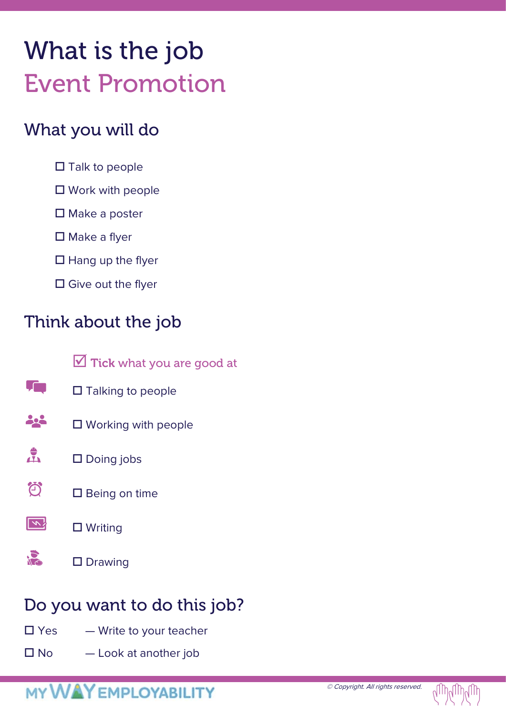# What is the job Event Promotion

### What you will do

- $\square$  Talk to people
- $\square$  Work with people
- $\square$  Make a poster
- $\square$  Make a flyer
- $\Box$  Hang up the flyer
- $\square$  Give out the flyer

## Think about the job

- $\sqrt{2}$  Tick what you are good at
- **Tim**  $\square$  Talking to people
- 22 □ Working with people
- $\frac{4}{\sqrt{2}}$ □ Doing jobs
- お  $\square$  Being on time





## Do you want to do this job?

- $\square$  Yes  $\rightharpoonup$  Write to your teacher
- $\square$  No  $\square$  Look at another job

## **MY WAY EMPLOYABILITY**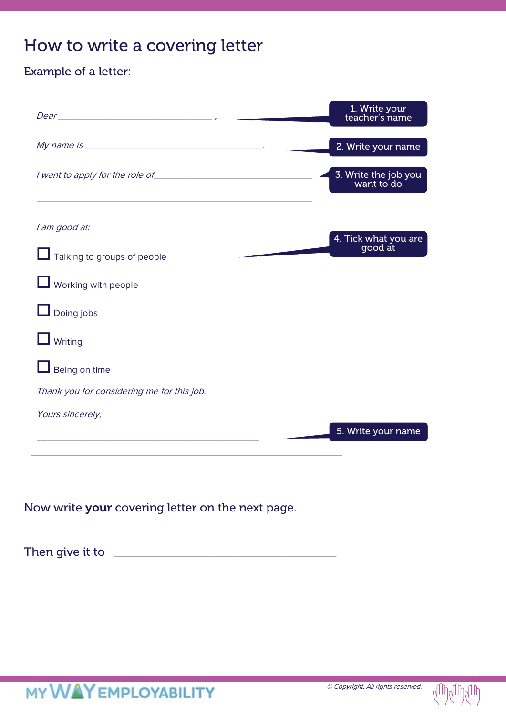### How to write a covering letter

#### Example of a letter:

|                                            | 1. Write your<br>teacher's name    |
|--------------------------------------------|------------------------------------|
|                                            | 2. Write your name                 |
| I want to apply for the role of            | 3. Write the job you<br>want to do |
|                                            |                                    |
| I am good at:                              |                                    |
| Talking to groups of people                | 4. Tick what you are<br>good at    |
| <b>L</b> Working with people               |                                    |
| $\Box$ Doing jobs                          |                                    |
| $\Box$ Writing                             |                                    |
| $\Box$ Being on time                       |                                    |
| Thank you for considering me for this job. |                                    |
| Yours sincerely,                           |                                    |
|                                            | 5. Write your name                 |
|                                            |                                    |

Now write your covering letter on the next page.

Then give it to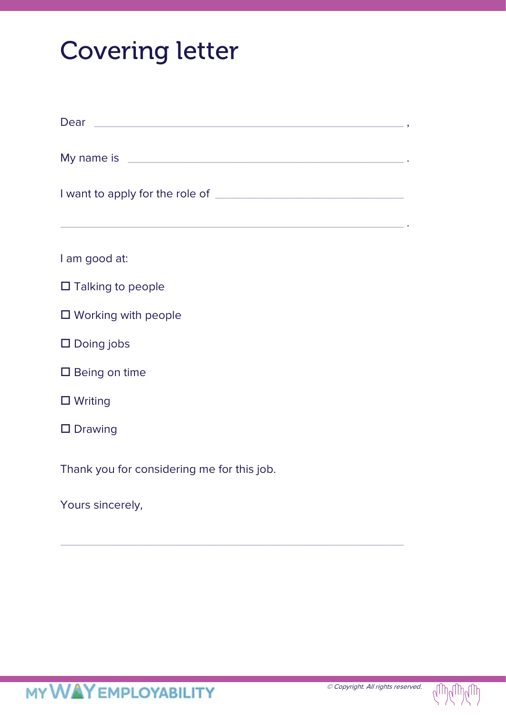# Covering letter

| Dear experience and the contract of the contract of the contract of the contract of the contract of the contract of  |  |  |  |  |  |
|----------------------------------------------------------------------------------------------------------------------|--|--|--|--|--|
|                                                                                                                      |  |  |  |  |  |
| <u> 1989 - Andrea Santa Alemania, amerikana amerikana amerikana amerikana amerikana amerikana amerikana amerikan</u> |  |  |  |  |  |
| I am good at:                                                                                                        |  |  |  |  |  |
| $\Box$ Talking to people                                                                                             |  |  |  |  |  |
| $\square$ Working with people                                                                                        |  |  |  |  |  |
| $\square$ Doing jobs                                                                                                 |  |  |  |  |  |
| $\square$ Being on time                                                                                              |  |  |  |  |  |
| $\Box$ Writing                                                                                                       |  |  |  |  |  |
| $\square$ Drawing                                                                                                    |  |  |  |  |  |
| Thank you for considering me for this job.                                                                           |  |  |  |  |  |
| Yours sincerely,                                                                                                     |  |  |  |  |  |

\_\_\_\_\_\_\_\_\_\_\_\_\_\_\_\_\_\_\_\_\_\_\_\_\_\_\_\_\_\_\_\_\_\_\_\_\_\_\_\_\_\_\_\_\_\_\_\_\_\_\_